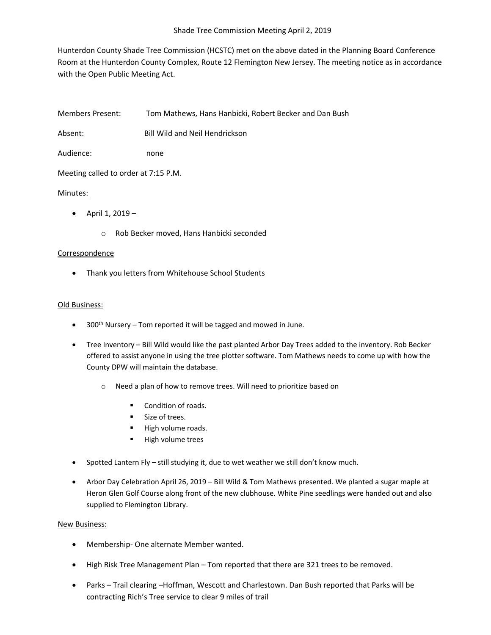Hunterdon County Shade Tree Commission (HCSTC) met on the above dated in the Planning Board Conference Room at the Hunterdon County Complex, Route 12 Flemington New Jersey. The meeting notice as in accordance with the Open Public Meeting Act.

Members Present: Tom Mathews, Hans Hanbicki, Robert Becker and Dan Bush

Absent: Bill Wild and Neil Hendrickson

Audience: none

Meeting called to order at 7:15 P.M.

## Minutes:

- $\bullet$  April 1, 2019
	- o Rob Becker moved, Hans Hanbicki seconded

## Correspondence

• Thank you letters from Whitehouse School Students

## Old Business:

- $\bullet$  300<sup>th</sup> Nursery Tom reported it will be tagged and mowed in June.
- Tree Inventory Bill Wild would like the past planted Arbor Day Trees added to the inventory. Rob Becker offered to assist anyone in using the tree plotter software. Tom Mathews needs to come up with how the County DPW will maintain the database.
	- o Need a plan of how to remove trees. Will need to prioritize based on
		- **•** Condition of roads.
		- **Size of trees.**
		- High volume roads.
		- **High volume trees**
- Spotted Lantern Fly still studying it, due to wet weather we still don't know much.
- Arbor Day Celebration April 26, 2019 Bill Wild & Tom Mathews presented. We planted a sugar maple at Heron Glen Golf Course along front of the new clubhouse. White Pine seedlings were handed out and also supplied to Flemington Library.

## New Business:

- Membership- One alternate Member wanted.
- High Risk Tree Management Plan Tom reported that there are 321 trees to be removed.
- Parks Trail clearing –Hoffman, Wescott and Charlestown. Dan Bush reported that Parks will be contracting Rich's Tree service to clear 9 miles of trail